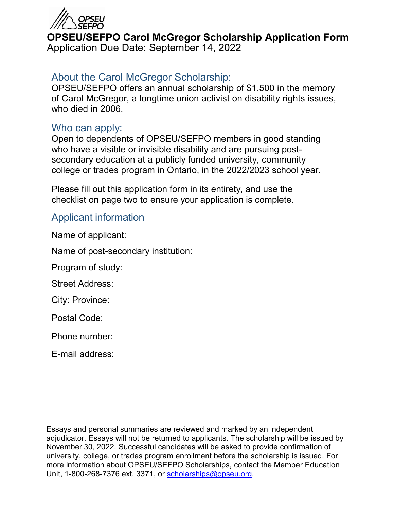

## **OPSEU/SEFPO Carol McGregor Scholarship Application Form** Application Due Date: September 14, 2022

# About the Carol McGregor Scholarship:

OPSEU/SEFPO offers an annual scholarship of \$1,500 in the memory of Carol McGregor, a longtime union activist on disability rights issues, who died in 2006.

## Who can apply:

Open to dependents of OPSEU/SEFPO members in good standing who have a visible or invisible disability and are pursuing postsecondary education at a publicly funded university, community college or trades program in Ontario, in the 2022/2023 school year.

Please fill out this application form in its entirety, and use the checklist on page two to ensure your application is complete.

## Applicant information

Name of applicant:

Name of post-secondary institution:

Program of study:

Street Address:

City: Province:

Postal Code:

Phone number:

E-mail address:

Essays and personal summaries are reviewed and marked by an independent adjudicator. Essays will not be returned to applicants. The scholarship will be issued by November 30, 2022. Successful candidates will be asked to provide confirmation of university, college, or trades program enrollment before the scholarship is issued. For more information about OPSEU/SEFPO Scholarships, contact the Member Education Unit, 1-800-268-7376 ext. 3371, or [scholarships@opseu.org.](mailto:scholarships@opseu.org)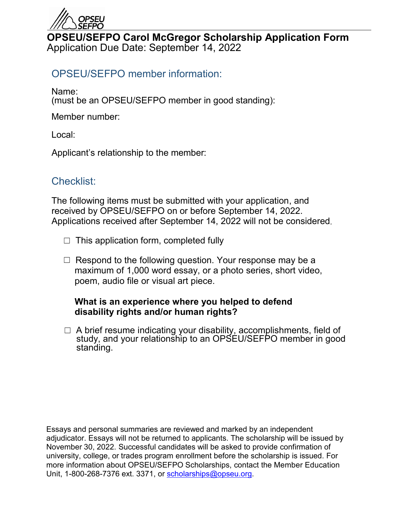

## **OPSEU/SEFPO Carol McGregor Scholarship Application Form** Application Due Date: September 14, 2022

## OPSEU/SEFPO member information:

Name:

(must be an OPSEU/SEFPO member in good standing):

Member number:

Local:

Applicant's relationship to the member:

## Checklist:

The following items must be submitted with your application, and received by OPSEU/SEFPO on or before September 14, 2022. Applications received after September 14, 2022 will not be considered.

- $\Box$  This application form, completed fully
- $\Box$  Respond to the following question. Your response may be a maximum of 1,000 word essay, or a photo series, short video, poem, audio file or visual art piece.

#### **What is an experience where you helped to defend disability rights and/or human rights?**

☐ A brief resume indicating your disability, accomplishments, field of study, and your relationship to an OPSEU/SEFPO member in good standing.

Essays and personal summaries are reviewed and marked by an independent adjudicator. Essays will not be returned to applicants. The scholarship will be issued by November 30, 2022. Successful candidates will be asked to provide confirmation of university, college, or trades program enrollment before the scholarship is issued. For more information about OPSEU/SEFPO Scholarships, contact the Member Education Unit, 1-800-268-7376 ext. 3371, or [scholarships@opseu.org.](mailto:scholarships@opseu.org)